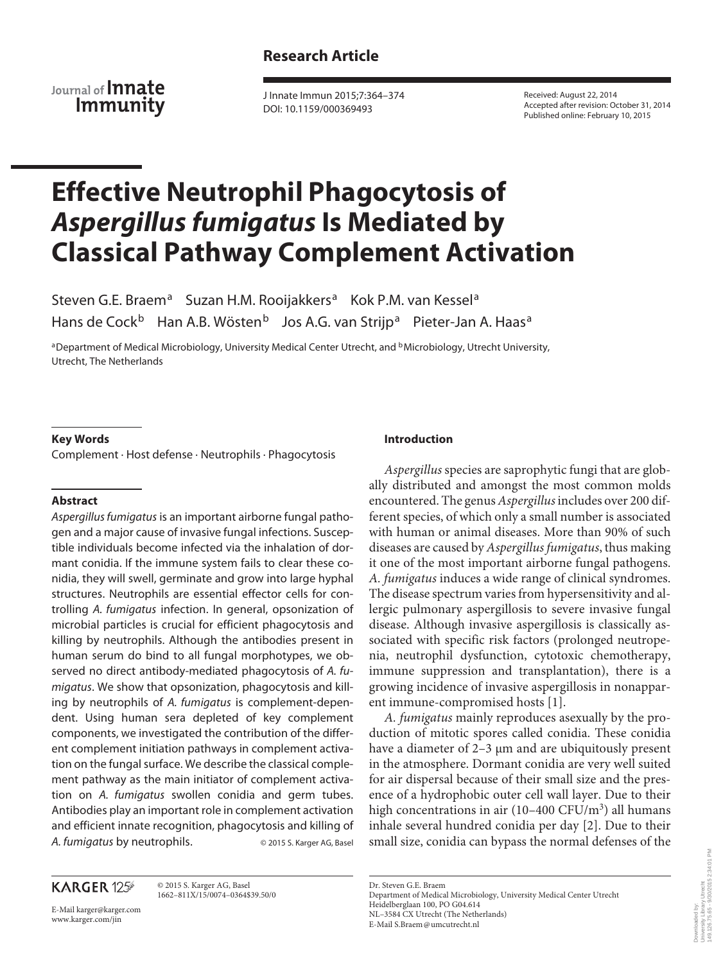**Journal of Innate Immunity**

 J Innate Immun 2015;7:364–374 DOI: 10.1159/000369493

 Received: August 22, 2014 Accepted after revision: October 31, 2014 Published online: February 10, 2015

# **Effective Neutrophil Phagocytosis of**  *Aspergillus**fumigatus* **Is Mediated by Classical Pathway Complement Activation**

Steven G.E. Braem<sup>a</sup> Suzan H.M. Rooijakkers<sup>a</sup> Kok P.M. van Kessel<sup>a</sup> Hans de Cock<sup>b</sup> Han A.B. Wösten<sup>b</sup> Jos A.G. van Strijp<sup>a</sup> Pieter-Jan A. Haas<sup>a</sup>

a Department of Medical Microbiology, University Medical Center Utrecht, and <sup>b</sup> Microbiology, Utrecht University, Utrecht, The Netherlands

#### **Key Words**

Complement · Host defense · Neutrophils · Phagocytosis

#### **Abstract**

Aspergillus fumigatus is an important airborne fungal pathogen and a major cause of invasive fungal infections. Susceptible individuals become infected via the inhalation of dormant conidia. If the immune system fails to clear these conidia, they will swell, germinate and grow into large hyphal structures. Neutrophils are essential effector cells for controlling A. fumigatus infection. In general, opsonization of microbial particles is crucial for efficient phagocytosis and killing by neutrophils. Although the antibodies present in human serum do bind to all fungal morphotypes, we observed no direct antibody-mediated phagocytosis of A. fumigatus. We show that opsonization, phagocytosis and killing by neutrophils of A. fumigatus is complement-dependent. Using human sera depleted of key complement components, we investigated the contribution of the different complement initiation pathways in complement activation on the fungal surface. We describe the classical complement pathway as the main initiator of complement activation on A. fumigatus swollen conidia and germ tubes. Antibodies play an important role in complement activation and efficient innate recognition, phagocytosis and killing of A. fumigatus by neutrophils.  $\circ$  2015 S. Karger AG, Basel

#### **Introduction**

*Aspergillus* species are saprophytic fungi that are globally distributed and amongst the most common molds encountered. The genus *Aspergillus* includes over 200 different species, of which only a small number is associated with human or animal diseases. More than 90% of such diseases are caused by *Aspergillus fumigatus* , thus making it one of the most important airborne fungal pathogens. *A. fumigatus* induces a wide range of clinical syndromes. The disease spectrum varies from hypersensitivity and allergic pulmonary aspergillosis to severe invasive fungal disease. Although invasive aspergillosis is classically associated with specific risk factors (prolonged neutropenia, neutrophil dysfunction, cytotoxic chemotherapy, immune suppression and transplantation), there is a growing incidence of invasive aspergillosis in nonapparent immune-compromised hosts [1] .

*A. fumigatus* mainly reproduces asexually by the production of mitotic spores called conidia. These conidia have a diameter of 2–3 μm and are ubiquitously present in the atmosphere. Dormant conidia are very well suited for air dispersal because of their small size and the presence of a hydrophobic outer cell wall layer. Due to their high concentrations in air (10-400  $CFU/m<sup>3</sup>$ ) all humans inhale several hundred conidia per day [2]. Due to their small size, conidia can bypass the normal defenses of the

# **KARGER 125**

 © 2015 S. Karger AG, Basel 1662–811X/15/0074–0364\$39.50/0

E-Mail karger@karger.com www.karger.com/jin

 Dr. Steven G.E. Braem Department of Medical Microbiology, University Medical Center Utrecht Heidelberglaan 100, PO G04.614 NL–3584 CX Utrecht (The Netherlands) E-Mail S.Braem @ umcutrecht.nl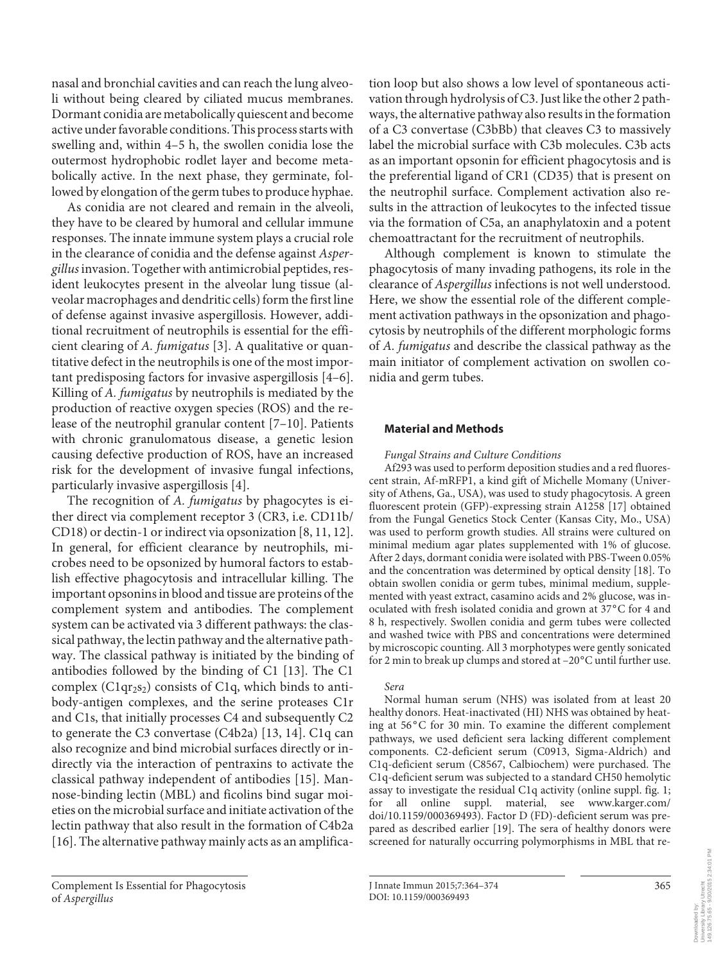nasal and bronchial cavities and can reach the lung alveoli without being cleared by ciliated mucus membranes. Dormant conidia are metabolically quiescent and become active under favorable conditions. This process starts with swelling and, within 4–5 h, the swollen conidia lose the outermost hydrophobic rodlet layer and become metabolically active. In the next phase, they germinate, followed by elongation of the germ tubes to produce hyphae.

 As conidia are not cleared and remain in the alveoli, they have to be cleared by humoral and cellular immune responses. The innate immune system plays a crucial role in the clearance of conidia and the defense against *Aspergillus* invasion. Together with antimicrobial peptides, resident leukocytes present in the alveolar lung tissue (alveolar macrophages and dendritic cells) form the first line of defense against invasive aspergillosis. However, additional recruitment of neutrophils is essential for the efficient clearing of *A. fumigatus* [3] . A qualitative or quantitative defect in the neutrophils is one of the most important predisposing factors for invasive aspergillosis [4–6] . Killing of *A. fumigatus* by neutrophils is mediated by the production of reactive oxygen species (ROS) and the release of the neutrophil granular content [7–10]. Patients with chronic granulomatous disease, a genetic lesion causing defective production of ROS, have an increased risk for the development of invasive fungal infections, particularly invasive aspergillosis [4] .

 The recognition of *A. fumigatus* by phagocytes is either direct via complement receptor 3 (CR3, i.e. CD11b/ CD18) or dectin-1 or indirect via opsonization [8, 11, 12] . In general, for efficient clearance by neutrophils, microbes need to be opsonized by humoral factors to establish effective phagocytosis and intracellular killing. The important opsonins in blood and tissue are proteins of the complement system and antibodies. The complement system can be activated via 3 different pathways: the classical pathway, the lectin pathway and the alternative pathway. The classical pathway is initiated by the binding of antibodies followed by the binding of C1 [13]. The C1 complex (C1qr<sub>2</sub> $s_2$ ) consists of C1q, which binds to antibody-antigen complexes, and the serine proteases C1r and C1s, that initially processes C4 and subsequently C2 to generate the C3 convertase (C4b2a) [13, 14]. C1q can also recognize and bind microbial surfaces directly or indirectly via the interaction of pentraxins to activate the classical pathway independent of antibodies [15] . Mannose-binding lectin (MBL) and ficolins bind sugar moieties on the microbial surface and initiate activation of the lectin pathway that also result in the formation of C4b2a [16]. The alternative pathway mainly acts as an amplification loop but also shows a low level of spontaneous activation through hydrolysis of C3. Just like the other 2 pathways, the alternative pathway also results in the formation of a C3 convertase (C3bBb) that cleaves C3 to massively label the microbial surface with C3b molecules. C3b acts as an important opsonin for efficient phagocytosis and is the preferential ligand of CR1 (CD35) that is present on the neutrophil surface. Complement activation also results in the attraction of leukocytes to the infected tissue via the formation of C5a, an anaphylatoxin and a potent chemoattractant for the recruitment of neutrophils.

 Although complement is known to stimulate the phagocytosis of many invading pathogens, its role in the clearance of *Aspergillus* infections is not well understood. Here, we show the essential role of the different complement activation pathways in the opsonization and phagocytosis by neutrophils of the different morphologic forms of *A. fumigatus* and describe the classical pathway as the main initiator of complement activation on swollen conidia and germ tubes.

#### **Material and Methods**

 *Fungal Strains and Culture Conditions* 

 Af293 was used to perform deposition studies and a red fluorescent strain, Af-mRFP1, a kind gift of Michelle Momany (University of Athens, Ga., USA), was used to study phagocytosis. A green fluorescent protein (GFP)-expressing strain A1258 [17] obtained from the Fungal Genetics Stock Center (Kansas City, Mo., USA) was used to perform growth studies. All strains were cultured on minimal medium agar plates supplemented with 1% of glucose. After 2 days, dormant conidia were isolated with PBS-Tween 0.05% and the concentration was determined by optical density [18] . To obtain swollen conidia or germ tubes, minimal medium, supplemented with yeast extract, casamino acids and 2% glucose, was inoculated with fresh isolated conidia and grown at 37 ° C for 4 and 8 h, respectively. Swollen conidia and germ tubes were collected and washed twice with PBS and concentrations were determined by microscopic counting. All 3 morphotypes were gently sonicated for 2 min to break up clumps and stored at –20°C until further use.

#### *Sera*

 Normal human serum (NHS) was isolated from at least 20 healthy donors. Heat-inactivated (HI) NHS was obtained by heating at 56°C for 30 min. To examine the different complement pathways, we used deficient sera lacking different complement components. C2-deficient serum (C0913, Sigma-Aldrich) and C1q-deficient serum (C8567, Calbiochem) were purchased. The C1q-deficient serum was subjected to a standard CH50 hemolytic assay to investigate the residual C1q activity (online suppl. fig. 1; for all online suppl. material, see www.karger.com/ doi/10.1159/000369493). Factor D (FD)-deficient serum was prepared as described earlier [19]. The sera of healthy donors were screened for naturally occurring polymorphisms in MBL that re-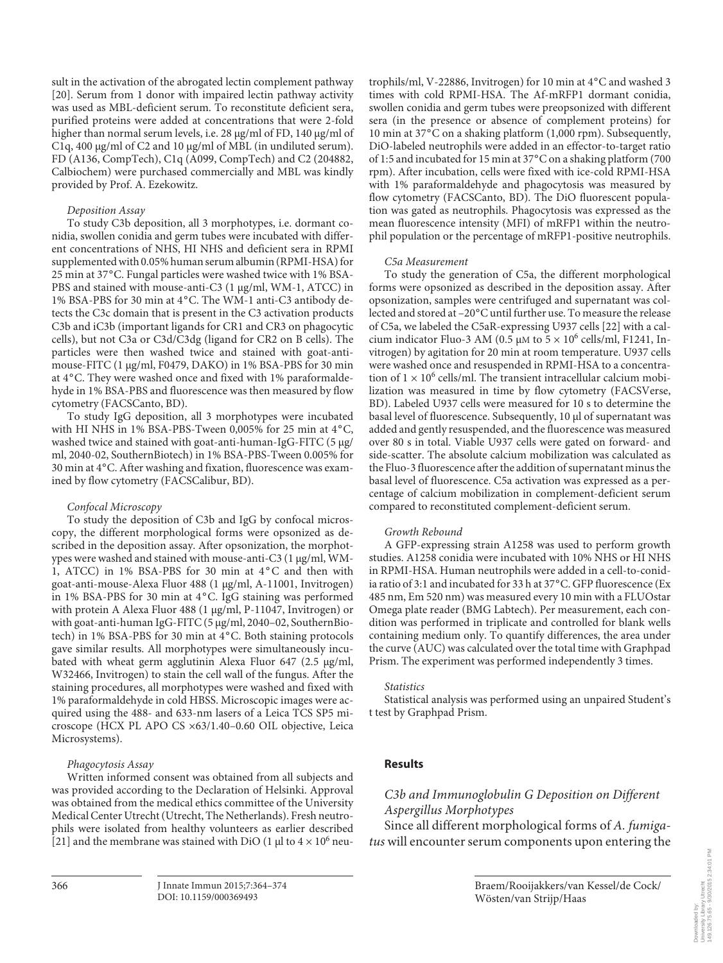sult in the activation of the abrogated lectin complement pathway [20]. Serum from 1 donor with impaired lectin pathway activity was used as MBL-deficient serum. To reconstitute deficient sera, purified proteins were added at concentrations that were 2-fold higher than normal serum levels, i.e. 28 μg/ml of FD, 140 μg/ml of C1q, 400 μg/ml of C2 and 10 μg/ml of MBL (in undiluted serum). FD (A136, CompTech), C1q (A099, CompTech) and C2 (204882, Calbiochem) were purchased commercially and MBL was kindly provided by Prof. A. Ezekowitz.

#### *Deposition Assay*

 To study C3b deposition, all 3 morphotypes, i.e. dormant conidia, swollen conidia and germ tubes were incubated with different concentrations of NHS, HI NHS and deficient sera in RPMI supplemented with 0.05% human serum albumin (RPMI-HSA) for 25 min at 37 ° C. Fungal particles were washed twice with 1% BSA-PBS and stained with mouse-anti-C3 (1 μg/ml, WM-1, ATCC) in 1% BSA-PBS for 30 min at 4°C. The WM-1 anti-C3 antibody detects the C3c domain that is present in the C3 activation products C3b and iC3b (important ligands for CR1 and CR3 on phagocytic cells), but not C3a or C3d/C3dg (ligand for CR2 on B cells). The particles were then washed twice and stained with goat-antimouse-FITC (1 μg/ml, F0479, DAKO) in 1% BSA-PBS for 30 min at 4°C. They were washed once and fixed with 1% paraformaldehyde in 1% BSA-PBS and fluorescence was then measured by flow cytometry (FACSCanto, BD).

 To study IgG deposition, all 3 morphotypes were incubated with HI NHS in 1% BSA-PBS-Tween 0,005% for 25 min at  $4^{\circ}$ C, washed twice and stained with goat-anti-human-IgG-FITC (5 μg/ ml, 2040-02, SouthernBiotech) in 1% BSA-PBS-Tween 0.005% for 30 min at 4°C. After washing and fixation, fluorescence was examined by flow cytometry (FACSCalibur, BD).

#### *Confocal Microscopy*

 To study the deposition of C3b and IgG by confocal microscopy, the different morphological forms were opsonized as described in the deposition assay. After opsonization, the morphotypes were washed and stained with mouse-anti-C3 (1 μg/ml, WM-1, ATCC) in 1% BSA-PBS for 30 min at  $4^{\circ}$ C and then with goat-anti-mouse-Alexa Fluor 488 (1 μg/ml, A-11001, Invitrogen) in 1% BSA-PBS for 30 min at 4°C. IgG staining was performed with protein A Alexa Fluor 488 (1 μg/ml, P-11047, Invitrogen) or with goat-anti-human IgG-FITC (5 μg/ml, 2040–02, SouthernBiotech) in 1% BSA-PBS for 30 min at 4°C. Both staining protocols gave similar results. All morphotypes were simultaneously incubated with wheat germ agglutinin Alexa Fluor 647 (2.5 μg/ml, W32466, Invitrogen) to stain the cell wall of the fungus. After the staining procedures, all morphotypes were washed and fixed with 1% paraformaldehyde in cold HBSS. Microscopic images were acquired using the 488- and 633-nm lasers of a Leica TCS SP5 microscope (HCX PL APO CS ×63/1.40–0.60 OIL objective, Leica Microsystems).

#### *Phagocytosis Assay*

 Written informed consent was obtained from all subjects and was provided according to the Declaration of Helsinki. Approval was obtained from the medical ethics committee of the University Medical Center Utrecht (Utrecht, The Netherlands). Fresh neutrophils were isolated from healthy volunteers as earlier described [21] and the membrane was stained with DiO (1  $\mu$ l to 4 × 10<sup>6</sup> neutrophils/ml, V-22886, Invitrogen) for 10 min at 4°C and washed 3 times with cold RPMI-HSA. The Af-mRFP1 dormant conidia, swollen conidia and germ tubes were preopsonized with different sera (in the presence or absence of complement proteins) for 10 min at 37 ° C on a shaking platform (1,000 rpm). Subsequently, DiO-labeled neutrophils were added in an effector-to-target ratio of 1:5 and incubated for 15 min at 37°C on a shaking platform (700 rpm). After incubation, cells were fixed with ice-cold RPMI-HSA with 1% paraformaldehyde and phagocytosis was measured by flow cytometry (FACSCanto, BD). The DiO fluorescent population was gated as neutrophils. Phagocytosis was expressed as the mean fluorescence intensity (MFI) of mRFP1 within the neutrophil population or the percentage of mRFP1-positive neutrophils.

#### *C5a Measurement*

 To study the generation of C5a, the different morphological forms were opsonized as described in the deposition assay. After opsonization, samples were centrifuged and supernatant was collected and stored at –20°C until further use. To measure the release of C5a, we labeled the C5aR-expressing U937 cells [22] with a calcium indicator Fluo-3 AM (0.5 μM to  $5 \times 10^6$  cells/ml, F1241, Invitrogen) by agitation for 20 min at room temperature. U937 cells were washed once and resuspended in RPMI-HSA to a concentration of  $1 \times 10^6$  cells/ml. The transient intracellular calcium mobilization was measured in time by flow cytometry (FACSVerse, BD). Labeled U937 cells were measured for 10 s to determine the basal level of fluorescence. Subsequently, 10 μl of supernatant was added and gently resuspended, and the fluorescence was measured over 80 s in total. Viable U937 cells were gated on forward- and side-scatter. The absolute calcium mobilization was calculated as the Fluo-3 fluorescence after the addition of supernatant minus the basal level of fluorescence. C5a activation was expressed as a percentage of calcium mobilization in complement-deficient serum compared to reconstituted complement-deficient serum.

#### *Growth Rebound*

 A GFP-expressing strain A1258 was used to perform growth studies. A1258 conidia were incubated with 10% NHS or HI NHS in RPMI-HSA. Human neutrophils were added in a cell-to-conidia ratio of 3:1 and incubated for 33 h at 37°C. GFP fluorescence (Ex 485 nm, Em 520 nm) was measured every 10 min with a FLUOstar Omega plate reader (BMG Labtech). Per measurement, each condition was performed in triplicate and controlled for blank wells containing medium only. To quantify differences, the area under the curve (AUC) was calculated over the total time with Graphpad Prism. The experiment was performed independently 3 times.

#### *Statistics*

 Statistical analysis was performed using an unpaired Student's t test by Graphpad Prism.

## **Results**

### *C3b and Immunoglobulin G Deposition on Different Aspergillus Morphotypes*

 Since all different morphological forms of *A. fumigatus* will encounter serum components upon entering the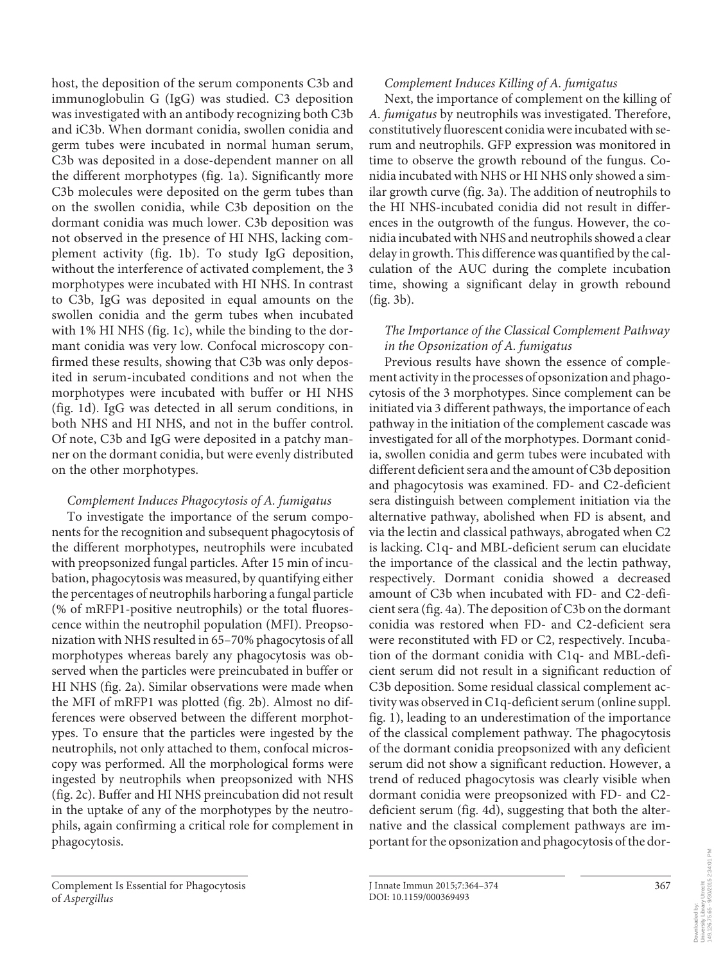host, the deposition of the serum components C3b and immunoglobulin G (IgG) was studied. C3 deposition was investigated with an antibody recognizing both C3b and iC3b. When dormant conidia, swollen conidia and germ tubes were incubated in normal human serum, C3b was deposited in a dose-dependent manner on all the different morphotypes (fig. 1a). Significantly more C3b molecules were deposited on the germ tubes than on the swollen conidia, while C3b deposition on the dormant conidia was much lower. C3b deposition was not observed in the presence of HI NHS, lacking complement activity (fig. 1b). To study IgG deposition, without the interference of activated complement, the 3 morphotypes were incubated with HI NHS. In contrast to C3b, IgG was deposited in equal amounts on the swollen conidia and the germ tubes when incubated with  $1\%$  HI NHS (fig. 1c), while the binding to the dormant conidia was very low. Confocal microscopy confirmed these results, showing that C3b was only deposited in serum-incubated conditions and not when the morphotypes were incubated with buffer or HI NHS (fig. 1d). IgG was detected in all serum conditions, in both NHS and HI NHS, and not in the buffer control. Of note, C3b and IgG were deposited in a patchy manner on the dormant conidia, but were evenly distributed on the other morphotypes.

# *Complement Induces Phagocytosis of A. fumigatus*

 To investigate the importance of the serum components for the recognition and subsequent phagocytosis of the different morphotypes, neutrophils were incubated with preopsonized fungal particles. After 15 min of incubation, phagocytosis was measured, by quantifying either the percentages of neutrophils harboring a fungal particle (% of mRFP1-positive neutrophils) or the total fluorescence within the neutrophil population (MFI). Preopsonization with NHS resulted in 65–70% phagocytosis of all morphotypes whereas barely any phagocytosis was observed when the particles were preincubated in buffer or HI NHS (fig. 2a). Similar observations were made when the MFI of mRFP1 was plotted (fig. 2b). Almost no differences were observed between the different morphotypes. To ensure that the particles were ingested by the neutrophils, not only attached to them, confocal microscopy was performed. All the morphological forms were ingested by neutrophils when preopsonized with NHS (fig. 2c). Buffer and HI NHS preincubation did not result in the uptake of any of the morphotypes by the neutrophils, again confirming a critical role for complement in phagocytosis.

#### Complement Is Essential for Phagocytosis of *Aspergillus*

# *Complement Induces Killing of A. fumigatus*

 Next, the importance of complement on the killing of *A. fumigatus* by neutrophils was investigated. Therefore, constitutively fluorescent conidia were incubated with serum and neutrophils. GFP expression was monitored in time to observe the growth rebound of the fungus. Conidia incubated with NHS or HI NHS only showed a similar growth curve (fig. 3a). The addition of neutrophils to the HI NHS-incubated conidia did not result in differences in the outgrowth of the fungus. However, the conidia incubated with NHS and neutrophils showed a clear delay in growth. This difference was quantified by the calculation of the AUC during the complete incubation time, showing a significant delay in growth rebound  $(fig. 3b)$ .

# *The Importance of the Classical Complement Pathway in the Opsonization of A. fumigatus*

 Previous results have shown the essence of complement activity in the processes of opsonization and phagocytosis of the 3 morphotypes. Since complement can be initiated via 3 different pathways, the importance of each pathway in the initiation of the complement cascade was investigated for all of the morphotypes. Dormant conidia, swollen conidia and germ tubes were incubated with different deficient sera and the amount of C3b deposition and phagocytosis was examined. FD- and C2-deficient sera distinguish between complement initiation via the alternative pathway, abolished when FD is absent, and via the lectin and classical pathways, abrogated when C2 is lacking. C1q- and MBL-deficient serum can elucidate the importance of the classical and the lectin pathway, respectively. Dormant conidia showed a decreased amount of C3b when incubated with FD- and C2-deficient sera (fig. 4a). The deposition of C3b on the dormant conidia was restored when FD- and C2-deficient sera were reconstituted with FD or C2, respectively. Incubation of the dormant conidia with C1q- and MBL-deficient serum did not result in a significant reduction of C3b deposition. Some residual classical complement activity was observed in C1q-deficient serum (online suppl. fig. 1), leading to an underestimation of the importance of the classical complement pathway. The phagocytosis of the dormant conidia preopsonized with any deficient serum did not show a significant reduction. However, a trend of reduced phagocytosis was clearly visible when dormant conidia were preopsonized with FD- and C2 deficient serum (fig. 4d), suggesting that both the alternative and the classical complement pathways are important for the opsonization and phagocytosis of the dor-

Jniversity Library Utrecht<br>149.126.75.65 - 9/30/2015 2:34:01 PM 149.126.75.65 - 9/30/2015 2:34:01 PMUniversity Library Utrecht

Downloaded by: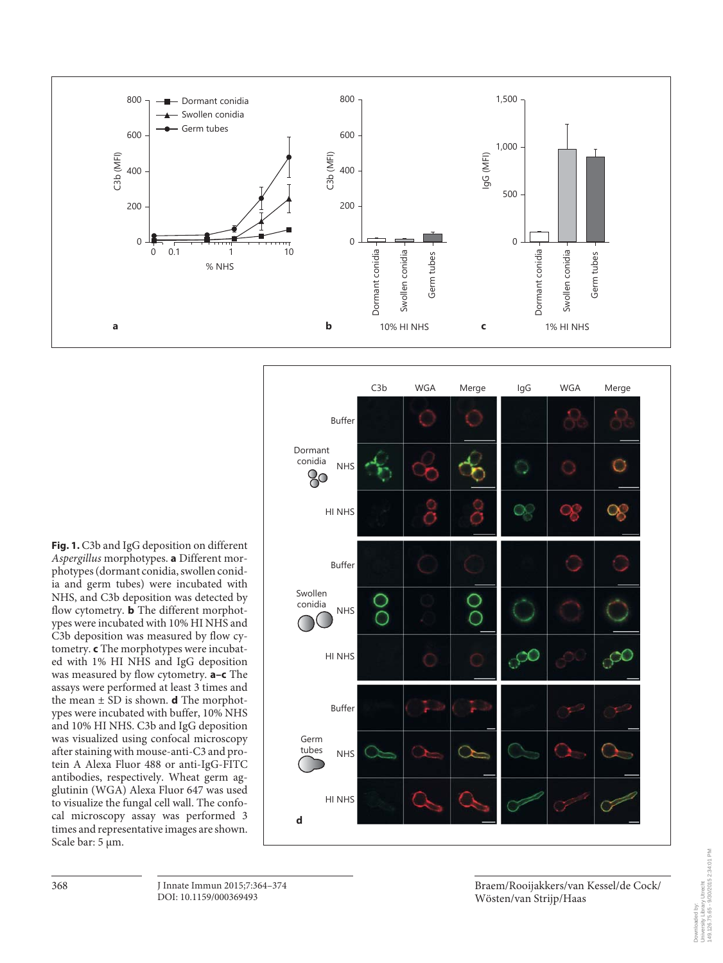

**Fig. 1.** C3b and IgG deposition on different *Aspergillus* morphotypes. **a** Different morphotypes (dormant conidia, swollen conidia and germ tubes) were incubated with NHS, and C3b deposition was detected by flow cytometry. **b** The different morphotypes were incubated with 10% HI NHS and C3b deposition was measured by flow cytometry. **c** The morphotypes were incubated with 1% HI NHS and IgG deposition was measured by flow cytometry. **a–c** The assays were performed at least 3 times and the mean ± SD is shown. **d** The morphotypes were incubated with buffer, 10% NHS and 10% HI NHS. C3b and IgG deposition was visualized using confocal microscopy after staining with mouse-anti-C3 and protein A Alexa Fluor 488 or anti-IgG-FITC antibodies, respectively. Wheat germ agglutinin (WGA) Alexa Fluor 647 was used to visualize the fungal cell wall. The confocal microscopy assay was performed 3 times and representative images are shown. Scale bar: 5 μm.

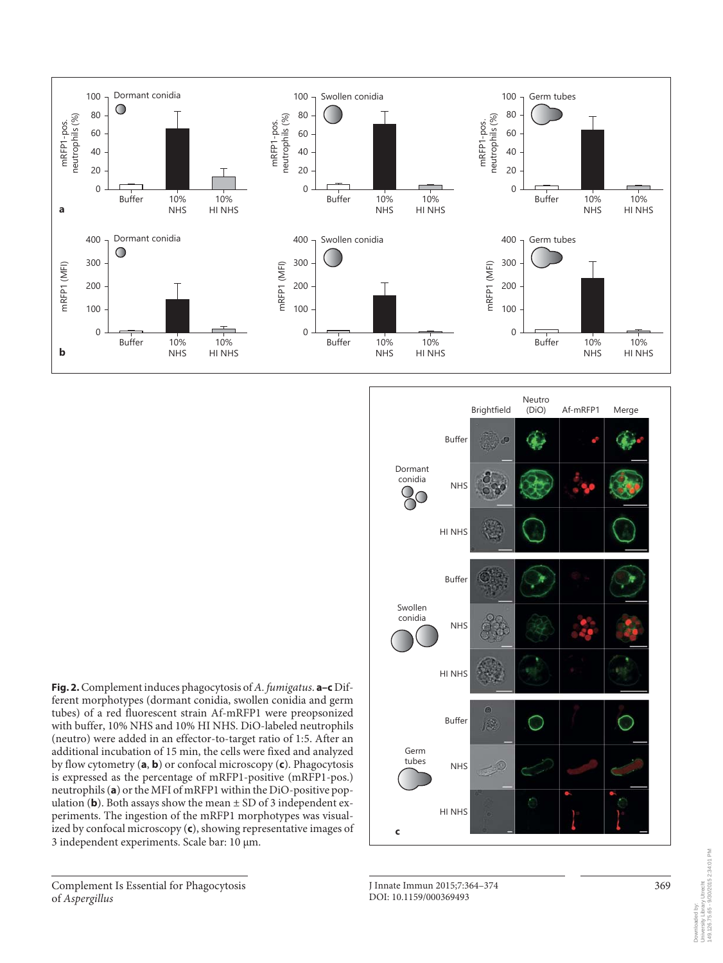







J Innate Immun 2015;7:364–374 DOI: 10.1159/000369493

369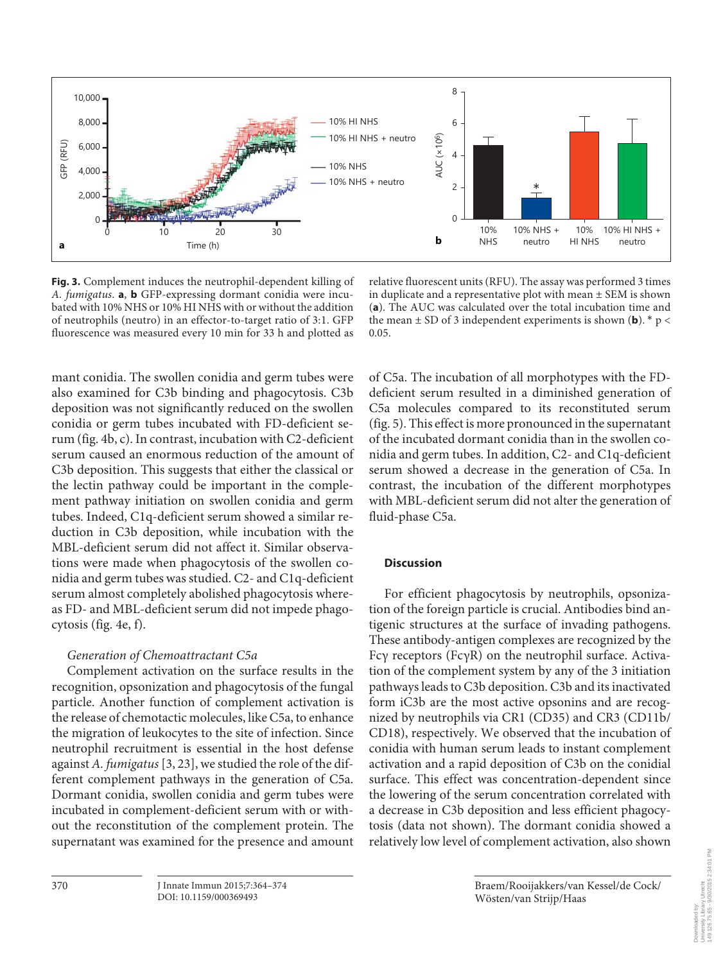

**Fig. 3.** Complement induces the neutrophil-dependent killing of *A. fumigatus* . **a** , **b** GFP-expressing dormant conidia were incubated with 10% NHS or 10% HI NHS with or without the addition of neutrophils (neutro) in an effector-to-target ratio of 3:1. GFP fluorescence was measured every 10 min for 33 h and plotted as

mant conidia. The swollen conidia and germ tubes were also examined for C3b binding and phagocytosis. C3b deposition was not significantly reduced on the swollen conidia or germ tubes incubated with FD-deficient serum (fig. 4b, c). In contrast, incubation with C2-deficient serum caused an enormous reduction of the amount of C3b deposition. This suggests that either the classical or the lectin pathway could be important in the complement pathway initiation on swollen conidia and germ tubes. Indeed, C1q-deficient serum showed a similar reduction in C3b deposition, while incubation with the MBL-deficient serum did not affect it. Similar observations were made when phagocytosis of the swollen conidia and germ tubes was studied. C2- and C1q-deficient serum almost completely abolished phagocytosis whereas FD- and MBL-deficient serum did not impede phagocytosis (fig. 4e, f).

## *Generation of Chemoattractant C5a*

 Complement activation on the surface results in the recognition, opsonization and phagocytosis of the fungal particle. Another function of complement activation is the release of chemotactic molecules, like C5a, to enhance the migration of leukocytes to the site of infection. Since neutrophil recruitment is essential in the host defense against *A. fumigatus* [3, 23] , we studied the role of the different complement pathways in the generation of C5a. Dormant conidia, swollen conidia and germ tubes were incubated in complement-deficient serum with or without the reconstitution of the complement protein. The supernatant was examined for the presence and amount

relative fluorescent units (RFU). The assay was performed 3 times in duplicate and a representative plot with mean  $\pm$  SEM is shown (a). The AUC was calculated over the total incubation time and the mean  $\pm$  SD of 3 independent experiments is shown (**b**). \*  $p$  < 0.05.

of C5a. The incubation of all morphotypes with the FDdeficient serum resulted in a diminished generation of C5a molecules compared to its reconstituted serum (fig. 5). This effect is more pronounced in the supernatant of the incubated dormant conidia than in the swollen conidia and germ tubes. In addition, C2- and C1q-deficient serum showed a decrease in the generation of C5a. In contrast, the incubation of the different morphotypes with MBL-deficient serum did not alter the generation of fluid-phase C5a.

## **Discussion**

 For efficient phagocytosis by neutrophils, opsonization of the foreign particle is crucial. Antibodies bind antigenic structures at the surface of invading pathogens. These antibody-antigen complexes are recognized by the Fcγ receptors (FcγR) on the neutrophil surface. Activation of the complement system by any of the 3 initiation pathways leads to C3b deposition. C3b and its inactivated form iC3b are the most active opsonins and are recognized by neutrophils via CR1 (CD35) and CR3 (CD11b/ CD18), respectively. We observed that the incubation of conidia with human serum leads to instant complement activation and a rapid deposition of C3b on the conidial surface. This effect was concentration-dependent since the lowering of the serum concentration correlated with a decrease in C3b deposition and less efficient phagocytosis (data not shown). The dormant conidia showed a relatively low level of complement activation, also shown

Braem/Rooijakkers/van Kessel/de Cock/

Wösten/van Strijp/Haas

Downloaded by: University Library Utrecht 149.126.75.65 - 9/30/2015 2:34:01 PM

Jniversity Library Utrecht<br>49.126.75.65 - 9/30/2015 2:34:01 PM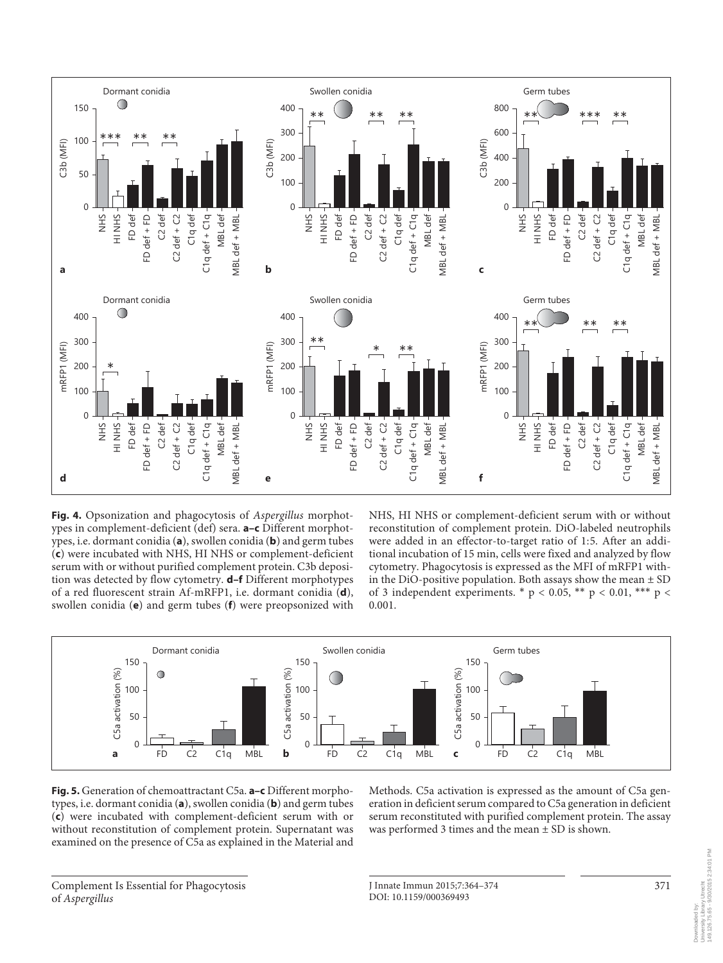

**Fig. 4.** Opsonization and phagocytosis of *Aspergillus* morphotypes in complement-deficient (def) sera. **a–c** Different morphotypes, i.e. dormant conidia ( **a** ), swollen conidia ( **b** ) and germ tubes ( **c** ) were incubated with NHS, HI NHS or complement-deficient serum with or without purified complement protein. C3b deposition was detected by flow cytometry. **d–f** Different morphotypes of a red fluorescent strain Af-mRFP1, i.e. dormant conidia ( **d** ), swollen conidia (e) and germ tubes (f) were preopsonized with

NHS, HI NHS or complement-deficient serum with or without reconstitution of complement protein. DiO-labeled neutrophils were added in an effector-to-target ratio of 1:5. After an additional incubation of 15 min, cells were fixed and analyzed by flow cytometry. Phagocytosis is expressed as the MFI of mRFP1 within the DiO-positive population. Both assays show the mean  $\pm$  SD of 3 independent experiments. \*  $p < 0.05$ , \*\*  $p < 0.01$ , \*\*\*  $p <$ 0.001.



**Fig. 5.** Generation of chemoattractant C5a. **a–c** Different morphotypes, i.e. dormant conidia ( **a** ), swollen conidia ( **b** ) and germ tubes ( **c** ) were incubated with complement-deficient serum with or without reconstitution of complement protein. Supernatant was examined on the presence of C5a as explained in the Material and Methods. C5a activation is expressed as the amount of C5a generation in deficient serum compared to C5a generation in deficient serum reconstituted with purified complement protein. The assay was performed 3 times and the mean ± SD is shown.

 Complement Is Essential for Phagocytosis of *Aspergillus*

J Innate Immun 2015;7:364–374 DOI: 10.1159/000369493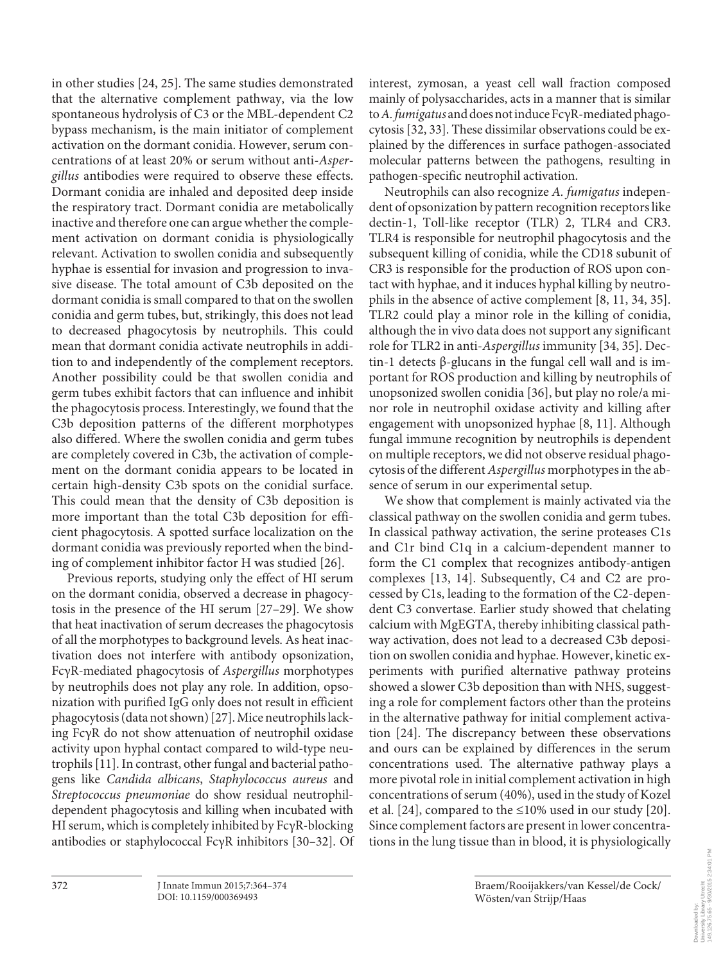in other studies [24, 25]. The same studies demonstrated that the alternative complement pathway, via the low spontaneous hydrolysis of C3 or the MBL-dependent C2 bypass mechanism, is the main initiator of complement activation on the dormant conidia. However, serum concentrations of at least 20% or serum without anti- *Aspergillus* antibodies were required to observe these effects. Dormant conidia are inhaled and deposited deep inside the respiratory tract. Dormant conidia are metabolically inactive and therefore one can argue whether the complement activation on dormant conidia is physiologically relevant. Activation to swollen conidia and subsequently hyphae is essential for invasion and progression to invasive disease. The total amount of C3b deposited on the dormant conidia is small compared to that on the swollen conidia and germ tubes, but, strikingly, this does not lead to decreased phagocytosis by neutrophils. This could mean that dormant conidia activate neutrophils in addition to and independently of the complement receptors. Another possibility could be that swollen conidia and germ tubes exhibit factors that can influence and inhibit the phagocytosis process. Interestingly, we found that the C3b deposition patterns of the different morphotypes also differed. Where the swollen conidia and germ tubes are completely covered in C3b, the activation of complement on the dormant conidia appears to be located in certain high-density C3b spots on the conidial surface. This could mean that the density of C3b deposition is more important than the total C3b deposition for efficient phagocytosis. A spotted surface localization on the dormant conidia was previously reported when the binding of complement inhibitor factor H was studied [26] .

 Previous reports, studying only the effect of HI serum on the dormant conidia, observed a decrease in phagocytosis in the presence of the HI serum [27–29]. We show that heat inactivation of serum decreases the phagocytosis of all the morphotypes to background levels. As heat inactivation does not interfere with antibody opsonization, FcγR-mediated phagocytosis of *Aspergillus* morphotypes by neutrophils does not play any role. In addition, opsonization with purified IgG only does not result in efficient phagocytosis (data not shown) [27] . Mice neutrophils lacking FcγR do not show attenuation of neutrophil oxidase activity upon hyphal contact compared to wild-type neutrophils [11] . In contrast, other fungal and bacterial pathogens like *Candida albicans* , *Staphylococcus aureus* and *Streptococcus pneumoniae* do show residual neutrophildependent phagocytosis and killing when incubated with HI serum, which is completely inhibited by FcγR-blocking antibodies or staphylococcal FcγR inhibitors [30–32] . Of interest, zymosan, a yeast cell wall fraction composed mainly of polysaccharides, acts in a manner that is similar to *A. fumigatus* and does not induce FcγR-mediated phagocytosis [32, 33] . These dissimilar observations could be explained by the differences in surface pathogen-associated molecular patterns between the pathogens, resulting in pathogen-specific neutrophil activation.

 Neutrophils can also recognize *A. fumigatus* independent of opsonization by pattern recognition receptors like dectin-1, Toll-like receptor (TLR) 2, TLR4 and CR3. TLR4 is responsible for neutrophil phagocytosis and the subsequent killing of conidia, while the CD18 subunit of CR3 is responsible for the production of ROS upon contact with hyphae, and it induces hyphal killing by neutrophils in the absence of active complement [8, 11, 34, 35] . TLR2 could play a minor role in the killing of conidia, although the in vivo data does not support any significant role for TLR2 in anti- *Aspergillus* immunity [34, 35] . Dectin-1 detects β-glucans in the fungal cell wall and is important for ROS production and killing by neutrophils of unopsonized swollen conidia [36] , but play no role/a minor role in neutrophil oxidase activity and killing after engagement with unopsonized hyphae [8, 11] . Although fungal immune recognition by neutrophils is dependent on multiple receptors, we did not observe residual phagocytosis of the different *Aspergillus* morphotypes in the absence of serum in our experimental setup.

 We show that complement is mainly activated via the classical pathway on the swollen conidia and germ tubes. In classical pathway activation, the serine proteases C1s and C1r bind C1q in a calcium-dependent manner to form the C1 complex that recognizes antibody-antigen complexes [13, 14]. Subsequently, C4 and C2 are processed by C1s, leading to the formation of the C2-dependent C3 convertase. Earlier study showed that chelating calcium with MgEGTA, thereby inhibiting classical pathway activation, does not lead to a decreased C3b deposition on swollen conidia and hyphae. However, kinetic experiments with purified alternative pathway proteins showed a slower C3b deposition than with NHS, suggesting a role for complement factors other than the proteins in the alternative pathway for initial complement activation [24]. The discrepancy between these observations and ours can be explained by differences in the serum concentrations used. The alternative pathway plays a more pivotal role in initial complement activation in high concentrations of serum (40%), used in the study of Kozel et al. [24], compared to the  $\leq 10\%$  used in our study [20]. Since complement factors are present in lower concentrations in the lung tissue than in blood, it is physiologically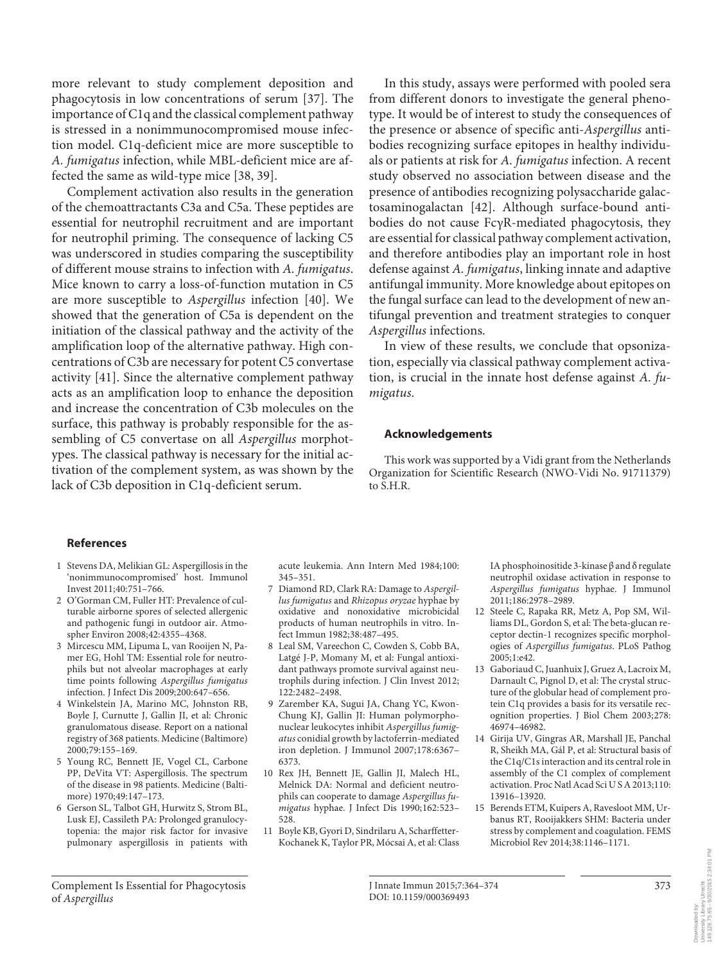more relevant to study complement deposition and phagocytosis in low concentrations of serum [37] . The importance of C1q and the classical complement pathway is stressed in a nonimmunocompromised mouse infection model. C1q-deficient mice are more susceptible to *A. fumigatus* infection, while MBL-deficient mice are affected the same as wild-type mice [38, 39] .

 Complement activation also results in the generation of the chemoattractants C3a and C5a. These peptides are essential for neutrophil recruitment and are important for neutrophil priming. The consequence of lacking C5 was underscored in studies comparing the susceptibility of different mouse strains to infection with *A. fumigatus* . Mice known to carry a loss-of-function mutation in C5 are more susceptible to *Aspergillus* infection [40]. We showed that the generation of C5a is dependent on the initiation of the classical pathway and the activity of the amplification loop of the alternative pathway. High concentrations of C3b are necessary for potent C5 convertase activity [41]. Since the alternative complement pathway acts as an amplification loop to enhance the deposition and increase the concentration of C3b molecules on the surface, this pathway is probably responsible for the assembling of C5 convertase on all *Aspergillus* morphotypes. The classical pathway is necessary for the initial activation of the complement system, as was shown by the lack of C3b deposition in C1q-deficient serum.

 In this study, assays were performed with pooled sera from different donors to investigate the general phenotype. It would be of interest to study the consequences of the presence or absence of specific anti- *Aspergillus* antibodies recognizing surface epitopes in healthy individuals or patients at risk for *A. fumigatus* infection. A recent study observed no association between disease and the presence of antibodies recognizing polysaccharide galactosaminogalactan [42]. Although surface-bound antibodies do not cause FcγR-mediated phagocytosis, they are essential for classical pathway complement activation, and therefore antibodies play an important role in host defense against *A. fumigatus* , linking innate and adaptive antifungal immunity. More knowledge about epitopes on the fungal surface can lead to the development of new antifungal prevention and treatment strategies to conquer *Aspergillus* infections.

 In view of these results, we conclude that opsonization, especially via classical pathway complement activation, is crucial in the innate host defense against *A. fumigatus* .

#### **Acknowledgements**

 This work was supported by a Vidi grant from the Netherlands Organization for Scientific Research (NWO-Vidi No. 91711379) to S.H.R.

#### **References**

- 1 Stevens DA, Melikian GL: Aspergillosis in the 'nonimmunocompromised' host. Immunol Invest 2011;40:751–766.
- 2 O'Gorman CM, Fuller HT: Prevalence of culturable airborne spores of selected allergenic and pathogenic fungi in outdoor air. Atmospher Environ 2008;42:4355–4368.
- 3 Mircescu MM, Lipuma L, van Rooijen N, Pamer EG, Hohl TM: Essential role for neutrophils but not alveolar macrophages at early time points following *Aspergillus fumigatus* infection. J Infect Dis 2009;200:647–656.
- 4 Winkelstein JA, Marino MC, Johnston RB, Boyle J, Curnutte J, Gallin JI, et al: Chronic granulomatous disease. Report on a national registry of 368 patients. Medicine (Baltimore) 2000;79:155–169.
- 5 Young RC, Bennett JE, Vogel CL, Carbone PP, DeVita VT: Aspergillosis. The spectrum of the disease in 98 patients. Medicine (Baltimore) 1970;49:147–173.
- 6 Gerson SL, Talbot GH, Hurwitz S, Strom BL, Lusk EJ, Cassileth PA: Prolonged granulocytopenia: the major risk factor for invasive pulmonary aspergillosis in patients with

acute leukemia. Ann Intern Med 1984;100: 345–351.

- 7 Diamond RD, Clark RA: Damage to *Aspergillus fumigatus* and *Rhizopus oryzae* hyphae by oxidative and nonoxidative microbicidal products of human neutrophils in vitro. Infect Immun 1982;38:487–495.
- 8 Leal SM, Vareechon C, Cowden S, Cobb BA, Latgé J-P, Momany M, et al: Fungal antioxidant pathways promote survival against neutrophils during infection. J Clin Invest 2012; 122:2482–2498.
- 9 Zarember KA, Sugui JA, Chang YC, Kwon-Chung KJ, Gallin JI: Human polymorphonuclear leukocytes inhibit *Aspergillus fumigatus* conidial growth by lactoferrin-mediated iron depletion. J Immunol 2007;178:6367– 6373.
- 10 Rex JH, Bennett JE, Gallin JI, Malech HL, Melnick DA: Normal and deficient neutrophils can cooperate to damage *Aspergillus fumigatus* hyphae. J Infect Dis 1990;162:523– 528.
- 11 Boyle KB, Gyori D, Sindrilaru A, Scharffetter-Kochanek K, Taylor PR, Mócsai A, et al: Class

IA phosphoinositide 3-kinase β and δ regulate neutrophil oxidase activation in response to *Aspergillus fumigatus* hyphae. J Immunol 2011;186:2978–2989.

- 12 Steele C, Rapaka RR, Metz A, Pop SM, Williams DL, Gordon S, et al: The beta-glucan receptor dectin-1 recognizes specific morphologies of *Aspergillus fumigatus* . PLoS Pathog 2005;1:e42.
- 13 Gaboriaud C, Juanhuix J, Gruez A, Lacroix M, Darnault C, Pignol D, et al: The crystal structure of the globular head of complement protein C1q provides a basis for its versatile recognition properties. J Biol Chem 2003;278: 46974–46982.
- 14 Girija UV, Gingras AR, Marshall JE, Panchal R, Sheikh MA, Gál P, et al: Structural basis of the C1q/C1s interaction and its central role in assembly of the C1 complex of complement activation. Proc Natl Acad Sci U S A 2013;110: 13916–13920.
- 15 Berends ETM, Kuipers A, Ravesloot MM, Urbanus RT, Rooijakkers SHM: Bacteria under stress by complement and coagulation. FEMS Microbiol Rev 2014;38:1146–1171.

 Complement Is Essential for Phagocytosis of *Aspergillus*